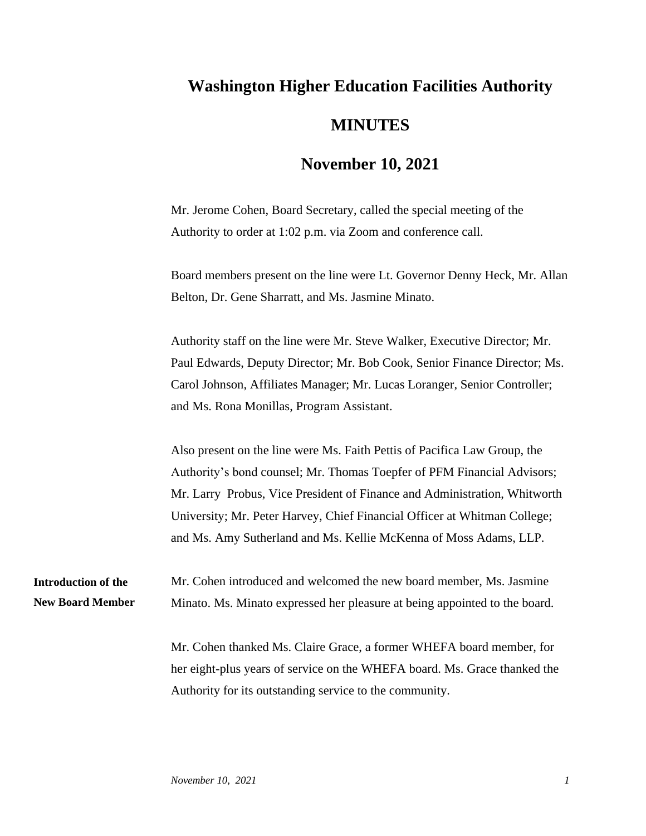## **Washington Higher Education Facilities Authority MINUTES**

## **November 10, 2021**

Mr. Jerome Cohen, Board Secretary, called the special meeting of the Authority to order at 1:02 p.m. via Zoom and conference call.

Board members present on the line were Lt. Governor Denny Heck, Mr. Allan Belton, Dr. Gene Sharratt, and Ms. Jasmine Minato.

Authority staff on the line were Mr. Steve Walker, Executive Director; Mr. Paul Edwards, Deputy Director; Mr. Bob Cook, Senior Finance Director; Ms. Carol Johnson, Affiliates Manager; Mr. Lucas Loranger, Senior Controller; and Ms. Rona Monillas, Program Assistant.

Also present on the line were Ms. Faith Pettis of Pacifica Law Group, the Authority's bond counsel; Mr. Thomas Toepfer of PFM Financial Advisors; Mr. Larry Probus, Vice President of Finance and Administration, Whitworth University; Mr. Peter Harvey, Chief Financial Officer at Whitman College; and Ms. Amy Sutherland and Ms. Kellie McKenna of Moss Adams, LLP.

Mr. Cohen introduced and welcomed the new board member, Ms. Jasmine Minato. Ms. Minato expressed her pleasure at being appointed to the board. **Introduction of the New Board Member**

> Mr. Cohen thanked Ms. Claire Grace, a former WHEFA board member, for her eight-plus years of service on the WHEFA board. Ms. Grace thanked the Authority for its outstanding service to the community.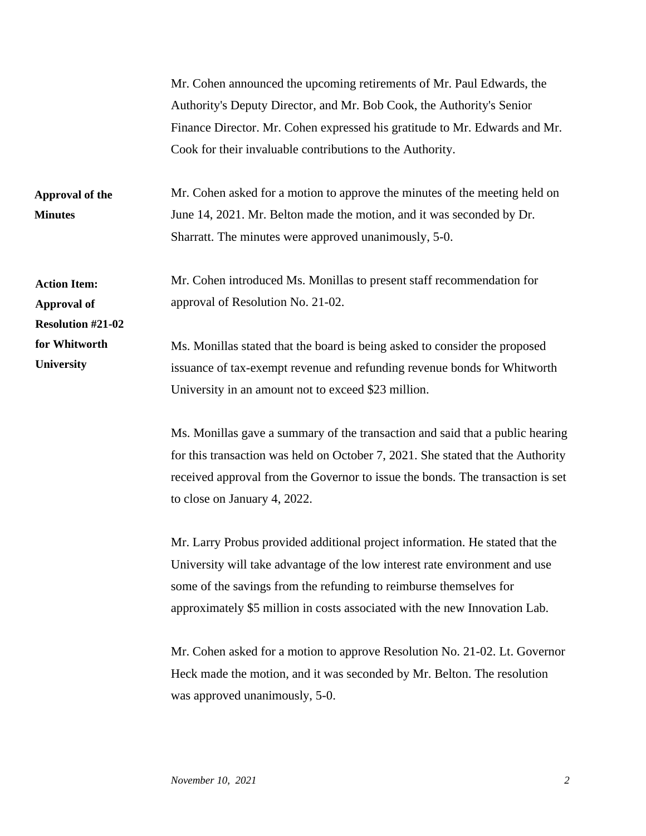|                                                                                                      | Mr. Cohen announced the upcoming retirements of Mr. Paul Edwards, the<br>Authority's Deputy Director, and Mr. Bob Cook, the Authority's Senior<br>Finance Director. Mr. Cohen expressed his gratitude to Mr. Edwards and Mr.<br>Cook for their invaluable contributions to the Authority.                                                                                                                                                         |
|------------------------------------------------------------------------------------------------------|---------------------------------------------------------------------------------------------------------------------------------------------------------------------------------------------------------------------------------------------------------------------------------------------------------------------------------------------------------------------------------------------------------------------------------------------------|
| Approval of the<br><b>Minutes</b>                                                                    | Mr. Cohen asked for a motion to approve the minutes of the meeting held on<br>June 14, 2021. Mr. Belton made the motion, and it was seconded by Dr.<br>Sharratt. The minutes were approved unanimously, 5-0.                                                                                                                                                                                                                                      |
| <b>Action Item:</b><br><b>Approval of</b><br><b>Resolution #21-02</b><br>for Whitworth<br>University | Mr. Cohen introduced Ms. Monillas to present staff recommendation for<br>approval of Resolution No. 21-02.<br>Ms. Monillas stated that the board is being asked to consider the proposed<br>issuance of tax-exempt revenue and refunding revenue bonds for Whitworth<br>University in an amount not to exceed \$23 million.                                                                                                                       |
|                                                                                                      | Ms. Monillas gave a summary of the transaction and said that a public hearing<br>for this transaction was held on October 7, 2021. She stated that the Authority<br>received approval from the Governor to issue the bonds. The transaction is set<br>to close on January 4, 2022.<br>Mr. Larry Probus provided additional project information. He stated that the<br>University will take advantage of the low interest rate environment and use |
|                                                                                                      | some of the savings from the refunding to reimburse themselves for<br>approximately \$5 million in costs associated with the new Innovation Lab.<br>Mr. Cohen asked for a motion to approve Resolution No. 21-02. Lt. Governor                                                                                                                                                                                                                    |

Heck made the motion, and it was seconded by Mr. Belton. The resolution was approved unanimously, 5-0.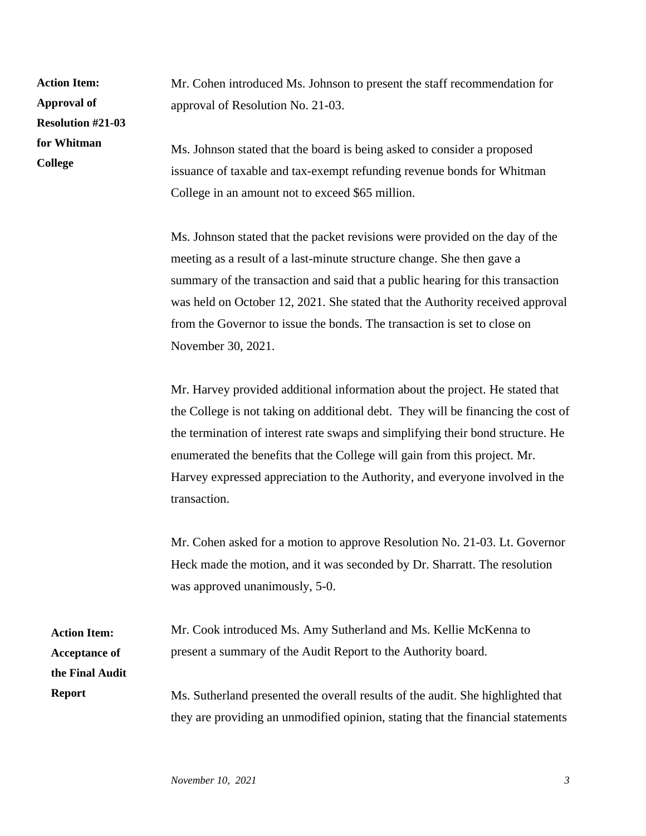**Action Item: Approval of Resolution #21-03 for Whitman College**

Mr. Cohen introduced Ms. Johnson to present the staff recommendation for approval of Resolution No. 21-03.

Ms. Johnson stated that the board is being asked to consider a proposed issuance of taxable and tax-exempt refunding revenue bonds for Whitman College in an amount not to exceed \$65 million.

Ms. Johnson stated that the packet revisions were provided on the day of the meeting as a result of a last-minute structure change. She then gave a summary of the transaction and said that a public hearing for this transaction was held on October 12, 2021. She stated that the Authority received approval from the Governor to issue the bonds. The transaction is set to close on November 30, 2021.

Mr. Harvey provided additional information about the project. He stated that the College is not taking on additional debt. They will be financing the cost of the termination of interest rate swaps and simplifying their bond structure. He enumerated the benefits that the College will gain from this project. Mr. Harvey expressed appreciation to the Authority, and everyone involved in the transaction.

Mr. Cohen asked for a motion to approve Resolution No. 21-03. Lt. Governor Heck made the motion, and it was seconded by Dr. Sharratt. The resolution was approved unanimously, 5-0.

Mr. Cook introduced Ms. Amy Sutherland and Ms. Kellie McKenna to present a summary of the Audit Report to the Authority board. Ms. Sutherland presented the overall results of the audit. She highlighted that they are providing an unmodified opinion, stating that the financial statements **Action Item: Acceptance of the Final Audit Report**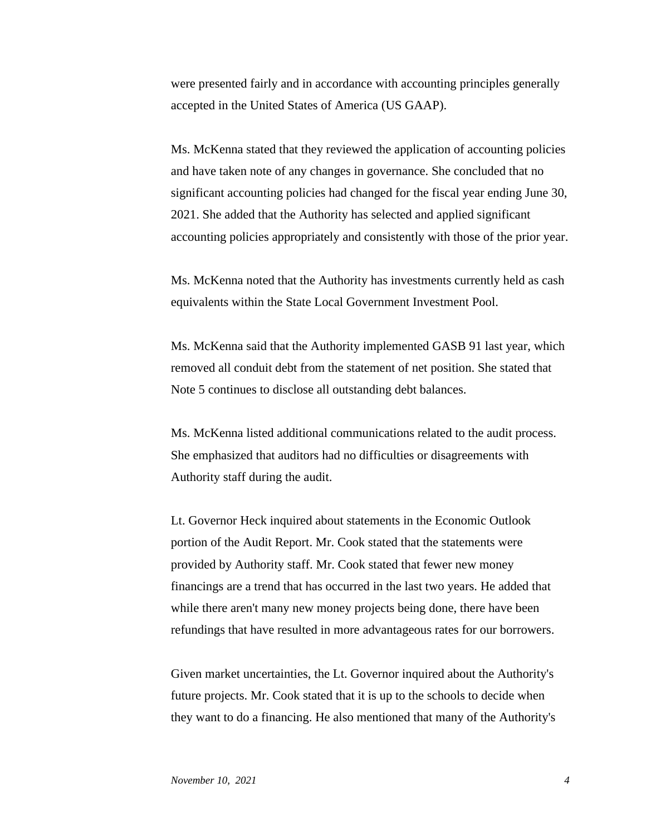were presented fairly and in accordance with accounting principles generally accepted in the United States of America (US GAAP).

Ms. McKenna stated that they reviewed the application of accounting policies and have taken note of any changes in governance. She concluded that no significant accounting policies had changed for the fiscal year ending June 30, 2021. She added that the Authority has selected and applied significant accounting policies appropriately and consistently with those of the prior year.

Ms. McKenna noted that the Authority has investments currently held as cash equivalents within the State Local Government Investment Pool.

Ms. McKenna said that the Authority implemented GASB 91 last year, which removed all conduit debt from the statement of net position. She stated that Note 5 continues to disclose all outstanding debt balances.

Ms. McKenna listed additional communications related to the audit process. She emphasized that auditors had no difficulties or disagreements with Authority staff during the audit.

Lt. Governor Heck inquired about statements in the Economic Outlook portion of the Audit Report. Mr. Cook stated that the statements were provided by Authority staff. Mr. Cook stated that fewer new money financings are a trend that has occurred in the last two years. He added that while there aren't many new money projects being done, there have been refundings that have resulted in more advantageous rates for our borrowers.

Given market uncertainties, the Lt. Governor inquired about the Authority's future projects. Mr. Cook stated that it is up to the schools to decide when they want to do a financing. He also mentioned that many of the Authority's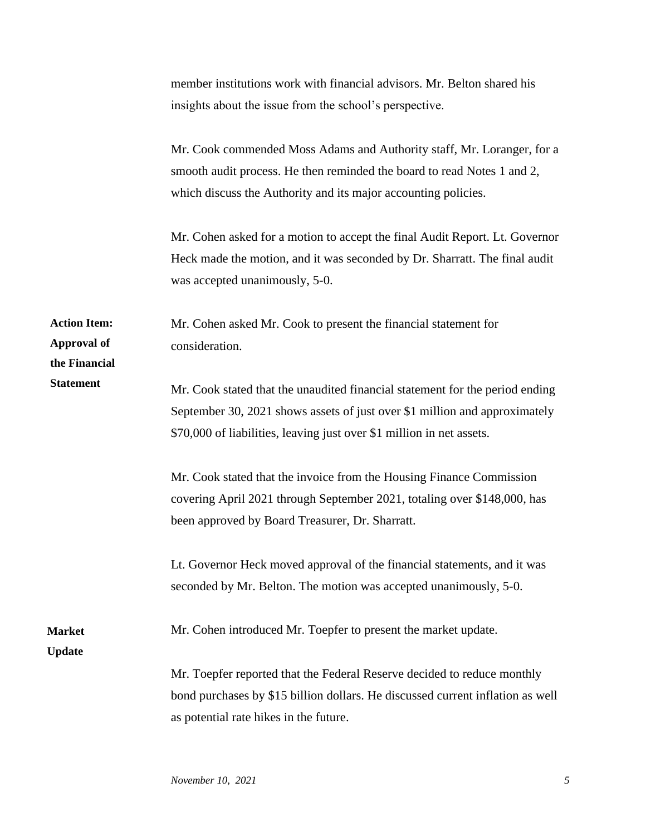|                                                            | member institutions work with financial advisors. Mr. Belton shared his<br>insights about the issue from the school's perspective.                                                                                                  |
|------------------------------------------------------------|-------------------------------------------------------------------------------------------------------------------------------------------------------------------------------------------------------------------------------------|
|                                                            | Mr. Cook commended Moss Adams and Authority staff, Mr. Loranger, for a<br>smooth audit process. He then reminded the board to read Notes 1 and 2,<br>which discuss the Authority and its major accounting policies.                 |
|                                                            | Mr. Cohen asked for a motion to accept the final Audit Report. Lt. Governor<br>Heck made the motion, and it was seconded by Dr. Sharratt. The final audit<br>was accepted unanimously, 5-0.                                         |
| <b>Action Item:</b><br><b>Approval of</b><br>the Financial | Mr. Cohen asked Mr. Cook to present the financial statement for<br>consideration.                                                                                                                                                   |
| <b>Statement</b>                                           | Mr. Cook stated that the unaudited financial statement for the period ending<br>September 30, 2021 shows assets of just over \$1 million and approximately<br>\$70,000 of liabilities, leaving just over \$1 million in net assets. |
|                                                            | Mr. Cook stated that the invoice from the Housing Finance Commission<br>covering April 2021 through September 2021, totaling over \$148,000, has<br>been approved by Board Treasurer, Dr. Sharratt.                                 |
|                                                            | Lt. Governor Heck moved approval of the financial statements, and it was<br>seconded by Mr. Belton. The motion was accepted unanimously, 5-0.                                                                                       |
| Market<br><b>Update</b>                                    | Mr. Cohen introduced Mr. Toepfer to present the market update.                                                                                                                                                                      |
|                                                            | Mr. Toepfer reported that the Federal Reserve decided to reduce monthly<br>bond purchases by \$15 billion dollars. He discussed current inflation as well<br>as potential rate hikes in the future.                                 |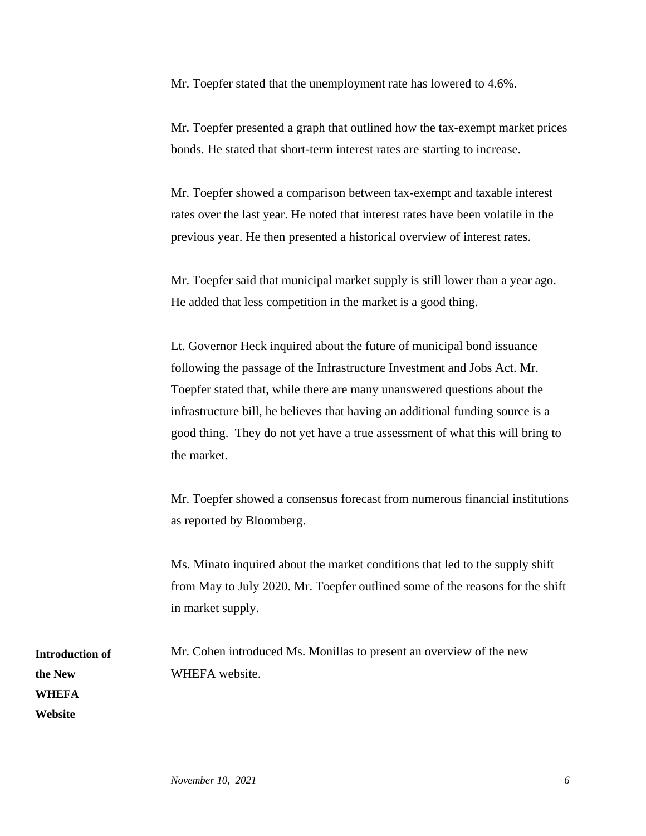Mr. Toepfer stated that the unemployment rate has lowered to 4.6%.

Mr. Toepfer presented a graph that outlined how the tax-exempt market prices bonds. He stated that short-term interest rates are starting to increase.

Mr. Toepfer showed a comparison between tax-exempt and taxable interest rates over the last year. He noted that interest rates have been volatile in the previous year. He then presented a historical overview of interest rates.

Mr. Toepfer said that municipal market supply is still lower than a year ago. He added that less competition in the market is a good thing.

Lt. Governor Heck inquired about the future of municipal bond issuance following the passage of the Infrastructure Investment and Jobs Act. Mr. Toepfer stated that, while there are many unanswered questions about the infrastructure bill, he believes that having an additional funding source is a good thing. They do not yet have a true assessment of what this will bring to the market.

Mr. Toepfer showed a consensus forecast from numerous financial institutions as reported by Bloomberg.

Ms. Minato inquired about the market conditions that led to the supply shift from May to July 2020. Mr. Toepfer outlined some of the reasons for the shift in market supply.

Mr. Cohen introduced Ms. Monillas to present an overview of the new WHEFA website.

**Introduction of the New WHEFA Website**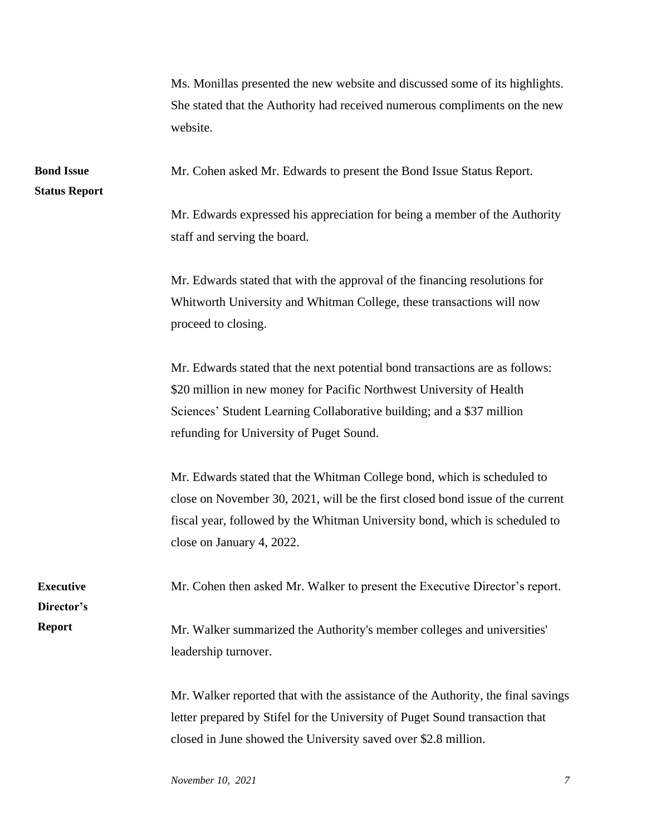|                                           | Ms. Monillas presented the new website and discussed some of its highlights.<br>She stated that the Authority had received numerous compliments on the new<br>website.                                                                                                    |
|-------------------------------------------|---------------------------------------------------------------------------------------------------------------------------------------------------------------------------------------------------------------------------------------------------------------------------|
| <b>Bond Issue</b><br><b>Status Report</b> | Mr. Cohen asked Mr. Edwards to present the Bond Issue Status Report.                                                                                                                                                                                                      |
|                                           | Mr. Edwards expressed his appreciation for being a member of the Authority<br>staff and serving the board.                                                                                                                                                                |
|                                           | Mr. Edwards stated that with the approval of the financing resolutions for<br>Whitworth University and Whitman College, these transactions will now<br>proceed to closing.                                                                                                |
|                                           | Mr. Edwards stated that the next potential bond transactions are as follows:<br>\$20 million in new money for Pacific Northwest University of Health<br>Sciences' Student Learning Collaborative building; and a \$37 million<br>refunding for University of Puget Sound. |
|                                           | Mr. Edwards stated that the Whitman College bond, which is scheduled to<br>close on November 30, 2021, will be the first closed bond issue of the current<br>fiscal year, followed by the Whitman University bond, which is scheduled to<br>close on January 4, 2022.     |
| <b>Executive</b><br>Director's            | Mr. Cohen then asked Mr. Walker to present the Executive Director's report.                                                                                                                                                                                               |
| <b>Report</b>                             | Mr. Walker summarized the Authority's member colleges and universities'<br>leadership turnover.                                                                                                                                                                           |
|                                           | Mr. Walker reported that with the assistance of the Authority, the final savings<br>letter prepared by Stifel for the University of Puget Sound transaction that<br>closed in June showed the University saved over \$2.8 million.                                        |